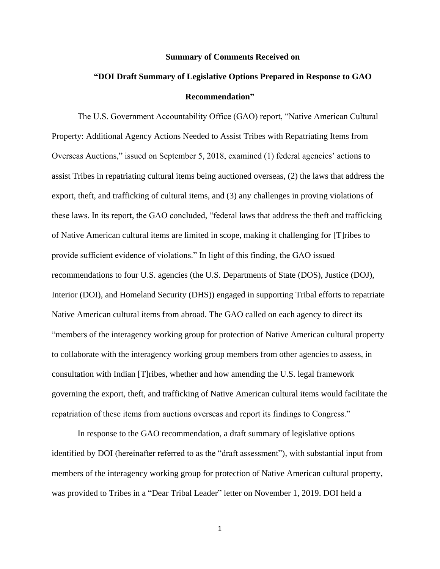#### **Summary of Comments Received on**

# **"DOI Draft Summary of Legislative Options Prepared in Response to GAO Recommendation"**

The U.S. Government Accountability Office (GAO) report, "Native American Cultural Property: Additional Agency Actions Needed to Assist Tribes with Repatriating Items from Overseas Auctions," issued on September 5, 2018, examined (1) federal agencies' actions to assist Tribes in repatriating cultural items being auctioned overseas, (2) the laws that address the export, theft, and trafficking of cultural items, and (3) any challenges in proving violations of these laws. In its report, the GAO concluded, "federal laws that address the theft and trafficking of Native American cultural items are limited in scope, making it challenging for [T]ribes to provide sufficient evidence of violations." In light of this finding, the GAO issued recommendations to four U.S. agencies (the U.S. Departments of State (DOS), Justice (DOJ), Interior (DOI), and Homeland Security (DHS)) engaged in supporting Tribal efforts to repatriate Native American cultural items from abroad. The GAO called on each agency to direct its "members of the interagency working group for protection of Native American cultural property to collaborate with the interagency working group members from other agencies to assess, in consultation with Indian [T]ribes, whether and how amending the U.S. legal framework governing the export, theft, and trafficking of Native American cultural items would facilitate the repatriation of these items from auctions overseas and report its findings to Congress."

In response to the GAO recommendation, a draft summary of legislative options identified by DOI (hereinafter referred to as the "draft assessment"), with substantial input from members of the interagency working group for protection of Native American cultural property, was provided to Tribes in a "Dear Tribal Leader" letter on November 1, 2019. DOI held a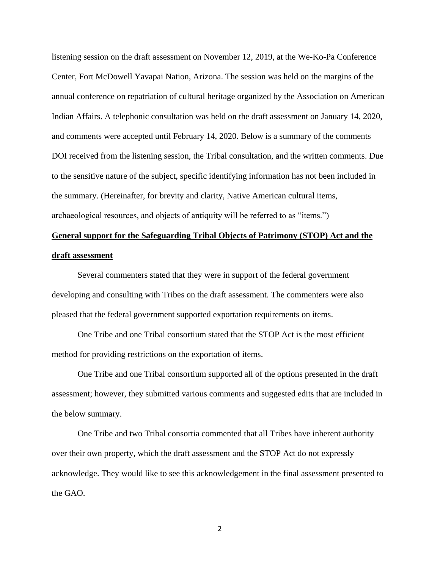listening session on the draft assessment on November 12, 2019, at the We-Ko-Pa Conference Center, Fort McDowell Yavapai Nation, Arizona. The session was held on the margins of the annual conference on repatriation of cultural heritage organized by the Association on American Indian Affairs. A telephonic consultation was held on the draft assessment on January 14, 2020, and comments were accepted until February 14, 2020. Below is a summary of the comments DOI received from the listening session, the Tribal consultation, and the written comments. Due to the sensitive nature of the subject, specific identifying information has not been included in the summary. (Hereinafter, for brevity and clarity, Native American cultural items, archaeological resources, and objects of antiquity will be referred to as "items.")

# **General support for the Safeguarding Tribal Objects of Patrimony (STOP) Act and the draft assessment**

Several commenters stated that they were in support of the federal government developing and consulting with Tribes on the draft assessment. The commenters were also pleased that the federal government supported exportation requirements on items.

One Tribe and one Tribal consortium stated that the STOP Act is the most efficient method for providing restrictions on the exportation of items.

One Tribe and one Tribal consortium supported all of the options presented in the draft assessment; however, they submitted various comments and suggested edits that are included in the below summary.

One Tribe and two Tribal consortia commented that all Tribes have inherent authority over their own property, which the draft assessment and the STOP Act do not expressly acknowledge. They would like to see this acknowledgement in the final assessment presented to the GAO.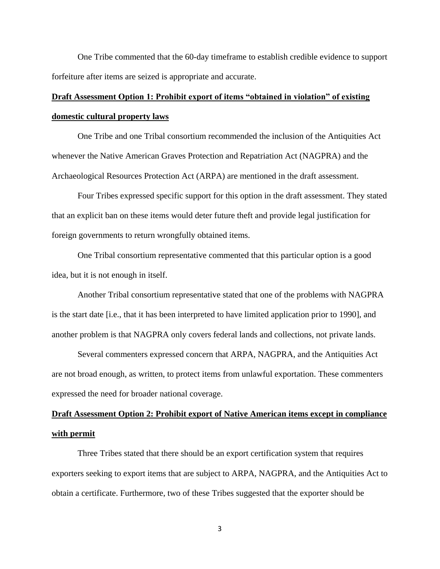One Tribe commented that the 60-day timeframe to establish credible evidence to support forfeiture after items are seized is appropriate and accurate.

# **Draft Assessment Option 1: Prohibit export of items "obtained in violation" of existing domestic cultural property laws**

One Tribe and one Tribal consortium recommended the inclusion of the Antiquities Act whenever the Native American Graves Protection and Repatriation Act (NAGPRA) and the Archaeological Resources Protection Act (ARPA) are mentioned in the draft assessment.

Four Tribes expressed specific support for this option in the draft assessment. They stated that an explicit ban on these items would deter future theft and provide legal justification for foreign governments to return wrongfully obtained items.

One Tribal consortium representative commented that this particular option is a good idea, but it is not enough in itself.

Another Tribal consortium representative stated that one of the problems with NAGPRA is the start date [i.e., that it has been interpreted to have limited application prior to 1990], and another problem is that NAGPRA only covers federal lands and collections, not private lands.

Several commenters expressed concern that ARPA, NAGPRA, and the Antiquities Act are not broad enough, as written, to protect items from unlawful exportation. These commenters expressed the need for broader national coverage.

# **Draft Assessment Option 2: Prohibit export of Native American items except in compliance with permit**

Three Tribes stated that there should be an export certification system that requires exporters seeking to export items that are subject to ARPA, NAGPRA, and the Antiquities Act to obtain a certificate. Furthermore, two of these Tribes suggested that the exporter should be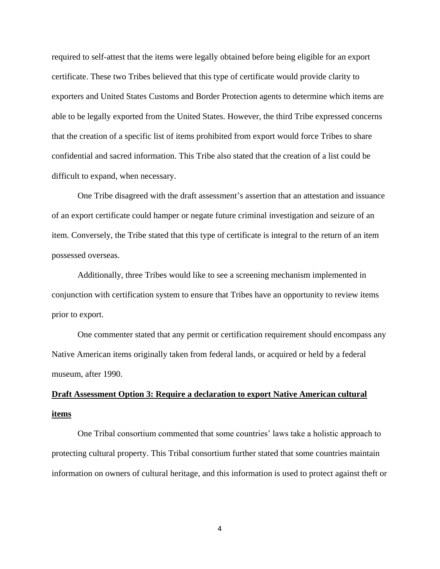required to self-attest that the items were legally obtained before being eligible for an export certificate. These two Tribes believed that this type of certificate would provide clarity to exporters and United States Customs and Border Protection agents to determine which items are able to be legally exported from the United States. However, the third Tribe expressed concerns that the creation of a specific list of items prohibited from export would force Tribes to share confidential and sacred information. This Tribe also stated that the creation of a list could be difficult to expand, when necessary.

One Tribe disagreed with the draft assessment's assertion that an attestation and issuance of an export certificate could hamper or negate future criminal investigation and seizure of an item. Conversely, the Tribe stated that this type of certificate is integral to the return of an item possessed overseas.

Additionally, three Tribes would like to see a screening mechanism implemented in conjunction with certification system to ensure that Tribes have an opportunity to review items prior to export.

One commenter stated that any permit or certification requirement should encompass any Native American items originally taken from federal lands, or acquired or held by a federal museum, after 1990.

# **Draft Assessment Option 3: Require a declaration to export Native American cultural items**

One Tribal consortium commented that some countries' laws take a holistic approach to protecting cultural property. This Tribal consortium further stated that some countries maintain information on owners of cultural heritage, and this information is used to protect against theft or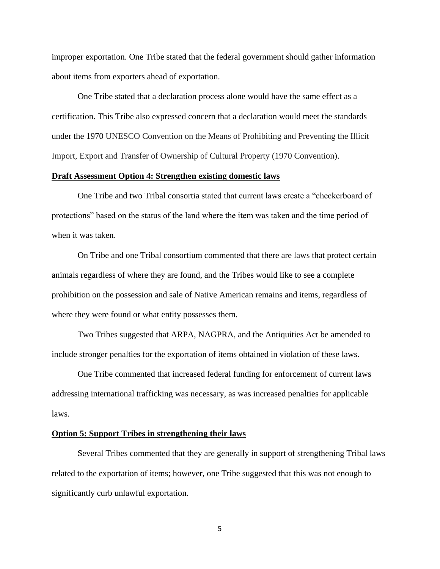improper exportation. One Tribe stated that the federal government should gather information about items from exporters ahead of exportation.

One Tribe stated that a declaration process alone would have the same effect as a certification. This Tribe also expressed concern that a declaration would meet the standards under the 1970 UNESCO Convention on the Means of Prohibiting and Preventing the Illicit Import, Export and Transfer of Ownership of Cultural Property (1970 Convention).

### **Draft Assessment Option 4: Strengthen existing domestic laws**

One Tribe and two Tribal consortia stated that current laws create a "checkerboard of protections" based on the status of the land where the item was taken and the time period of when it was taken.

On Tribe and one Tribal consortium commented that there are laws that protect certain animals regardless of where they are found, and the Tribes would like to see a complete prohibition on the possession and sale of Native American remains and items, regardless of where they were found or what entity possesses them.

Two Tribes suggested that ARPA, NAGPRA, and the Antiquities Act be amended to include stronger penalties for the exportation of items obtained in violation of these laws.

One Tribe commented that increased federal funding for enforcement of current laws addressing international trafficking was necessary, as was increased penalties for applicable laws.

#### **Option 5: Support Tribes in strengthening their laws**

Several Tribes commented that they are generally in support of strengthening Tribal laws related to the exportation of items; however, one Tribe suggested that this was not enough to significantly curb unlawful exportation.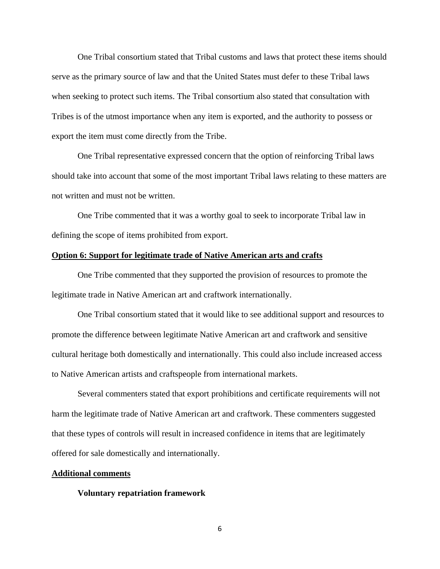One Tribal consortium stated that Tribal customs and laws that protect these items should serve as the primary source of law and that the United States must defer to these Tribal laws when seeking to protect such items. The Tribal consortium also stated that consultation with Tribes is of the utmost importance when any item is exported, and the authority to possess or export the item must come directly from the Tribe.

One Tribal representative expressed concern that the option of reinforcing Tribal laws should take into account that some of the most important Tribal laws relating to these matters are not written and must not be written.

One Tribe commented that it was a worthy goal to seek to incorporate Tribal law in defining the scope of items prohibited from export.

### **Option 6: Support for legitimate trade of Native American arts and crafts**

One Tribe commented that they supported the provision of resources to promote the legitimate trade in Native American art and craftwork internationally.

One Tribal consortium stated that it would like to see additional support and resources to promote the difference between legitimate Native American art and craftwork and sensitive cultural heritage both domestically and internationally. This could also include increased access to Native American artists and craftspeople from international markets.

Several commenters stated that export prohibitions and certificate requirements will not harm the legitimate trade of Native American art and craftwork. These commenters suggested that these types of controls will result in increased confidence in items that are legitimately offered for sale domestically and internationally.

### **Additional comments**

### **Voluntary repatriation framework**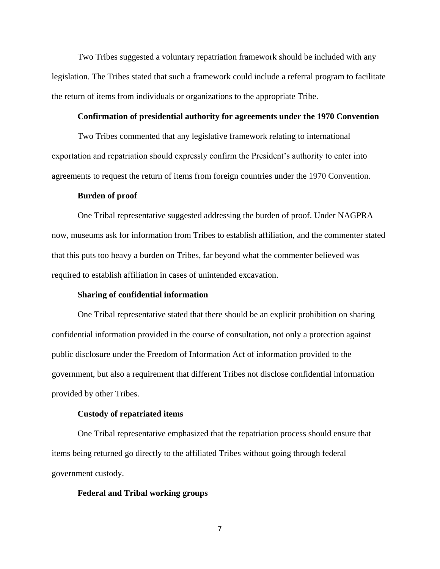Two Tribes suggested a voluntary repatriation framework should be included with any legislation. The Tribes stated that such a framework could include a referral program to facilitate the return of items from individuals or organizations to the appropriate Tribe.

### **Confirmation of presidential authority for agreements under the 1970 Convention**

Two Tribes commented that any legislative framework relating to international exportation and repatriation should expressly confirm the President's authority to enter into agreements to request the return of items from foreign countries under the 1970 Convention.

#### **Burden of proof**

One Tribal representative suggested addressing the burden of proof. Under NAGPRA now, museums ask for information from Tribes to establish affiliation, and the commenter stated that this puts too heavy a burden on Tribes, far beyond what the commenter believed was required to establish affiliation in cases of unintended excavation.

### **Sharing of confidential information**

One Tribal representative stated that there should be an explicit prohibition on sharing confidential information provided in the course of consultation, not only a protection against public disclosure under the Freedom of Information Act of information provided to the government, but also a requirement that different Tribes not disclose confidential information provided by other Tribes.

#### **Custody of repatriated items**

One Tribal representative emphasized that the repatriation process should ensure that items being returned go directly to the affiliated Tribes without going through federal government custody.

### **Federal and Tribal working groups**